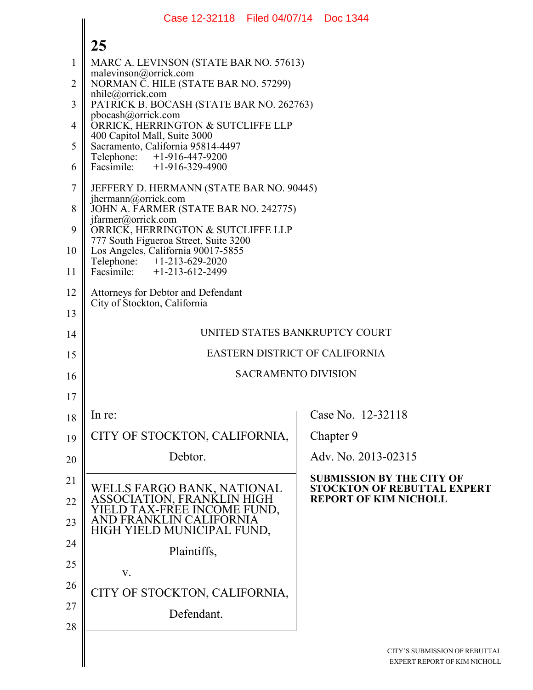|                | Case 12-32118 Filed 04/07/14 Doc 1344                                             |                                                                        |
|----------------|-----------------------------------------------------------------------------------|------------------------------------------------------------------------|
|                | 25                                                                                |                                                                        |
| 1              | MARC A. LEVINSON (STATE BAR NO. 57613)                                            |                                                                        |
| $\overline{2}$ | malevinson@orrick.com<br>NORMAN C. HILE (STATE BAR NO. 57299)                     |                                                                        |
| 3              | $n$ hile@orrick.com<br>PATRICK B. BOCASH (STATE BAR NO. 262763)                   |                                                                        |
| 4              | pbocash@orrick.com<br>ORRICK, HERRINGTON & SUTCLIFFE LLP                          |                                                                        |
| 5              | 400 Capitol Mall, Suite 3000<br>Sacramento, California 95814-4497                 |                                                                        |
| 6              | Telephone: +1-916-447-9200<br>Facsimile: +1-916-329-4900                          |                                                                        |
| $\tau$         | JEFFERY D. HERMANN (STATE BAR NO. 90445)                                          |                                                                        |
| 8              | jhermann@orrick.com<br>JOHN A. FARMER (STATE BAR NO. 242775)                      |                                                                        |
| 9              | jfarmer@orrick.com<br>ORRICK, HERRINGTON & SUTCLIFFE LLP                          |                                                                        |
| 10             | 777 South Figueroa Street, Suite 3200<br>Los Angeles, California 90017-5855       |                                                                        |
| 11             | Telephone: +1-213-629-2020<br>Facsimile: +1-213-612-2499                          |                                                                        |
| 12             | Attorneys for Debtor and Defendant                                                |                                                                        |
| 13             | City of Stockton, California                                                      |                                                                        |
| 14             |                                                                                   | UNITED STATES BANKRUPTCY COURT                                         |
| 15             |                                                                                   | EASTERN DISTRICT OF CALIFORNIA                                         |
| 16             |                                                                                   | <b>SACRAMENTO DIVISION</b>                                             |
| 17             |                                                                                   |                                                                        |
| 18             | In re:                                                                            | Case No. 12-32118                                                      |
| 19             | CITY OF STOCKTON, CALIFORNIA,                                                     | Chapter 9                                                              |
| 20             | Debtor.                                                                           | Adv. No. 2013-02315                                                    |
| 21             |                                                                                   | <b>SUBMISSION BY THE CITY OF</b><br><b>STOCKTON OF REBUTTAL EXPERT</b> |
| 22             | WELLS FARGO BANK, NATIONAL<br>ASSOCIATION, FRANKLIN HIGH<br>TAX-FREE INCOME FUND. | <b>REPORT OF KIM NICHOLL</b>                                           |
| 23             | JRNIA<br>HIGH YIELD MUNICIPAL FUND,                                               |                                                                        |
| 24             | Plaintiffs,                                                                       |                                                                        |
| 25             | V.                                                                                |                                                                        |
| 26             | CITY OF STOCKTON, CALIFORNIA,                                                     |                                                                        |
| 27             | Defendant.                                                                        |                                                                        |
| 28             |                                                                                   |                                                                        |
|                |                                                                                   | CITY'S SUBMISSION OF REBUTTAL                                          |
|                |                                                                                   | EXPERT REPORT OF KIM NICHOLI                                           |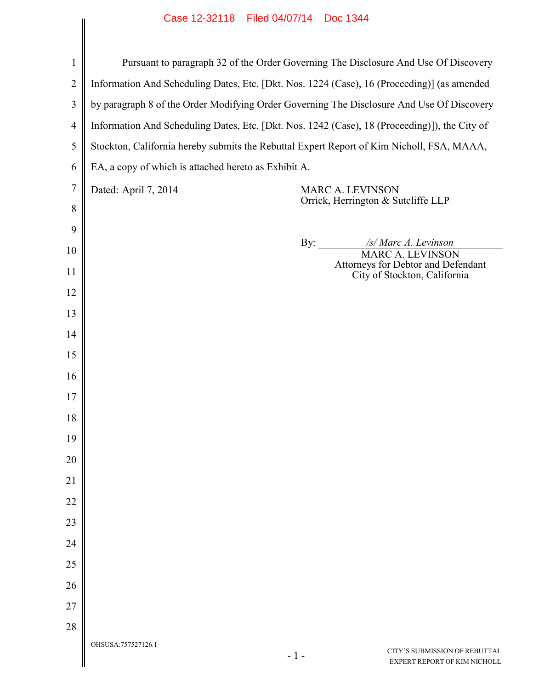|                | Case 12-32118 Filed 04/07/14 DOC 1344                                                         |
|----------------|-----------------------------------------------------------------------------------------------|
|                |                                                                                               |
| $\mathbf{1}$   | Pursuant to paragraph 32 of the Order Governing The Disclosure And Use Of Discovery           |
| $\overline{2}$ | Information And Scheduling Dates, Etc. [Dkt. Nos. 1224 (Case), 16 (Proceeding)] (as amended   |
| 3              | by paragraph 8 of the Order Modifying Order Governing The Disclosure And Use Of Discovery     |
| $\overline{4}$ | Information And Scheduling Dates, Etc. [Dkt. Nos. 1242 (Case), 18 (Proceeding)]), the City of |
| 5              | Stockton, California hereby submits the Rebuttal Expert Report of Kim Nicholl, FSA, MAAA,     |
| 6              | EA, a copy of which is attached hereto as Exhibit A.                                          |
| $\overline{7}$ | Dated: April 7, 2014<br><b>MARC A. LEVINSON</b>                                               |
| 8              | Orrick, Herrington & Sutcliffe LLP                                                            |
| 9              |                                                                                               |
| 10             | By: $\qquad \qquad$<br>/s/ Marc A. Levinson<br><b>MARC A. LEVINSON</b>                        |
| 11             | Attorneys for Debtor and Defendant<br>City of Stockton, California                            |
| 12             |                                                                                               |
| 13             |                                                                                               |
| 14             |                                                                                               |
| 15             |                                                                                               |
| 16             |                                                                                               |
| 17             |                                                                                               |
| 18             |                                                                                               |
| 19             |                                                                                               |
| 20             |                                                                                               |
| 21             |                                                                                               |
| 22             |                                                                                               |
| 23             |                                                                                               |
| 24             |                                                                                               |
| 25             |                                                                                               |
| 26             |                                                                                               |
| 27             |                                                                                               |
| 28             |                                                                                               |
|                | OHSUSA:757527126.1<br>CITY'S SUBMISSION OF REBUTTAL<br>$-1-$<br>EXPERT REPORT OF KIM NICHOLL  |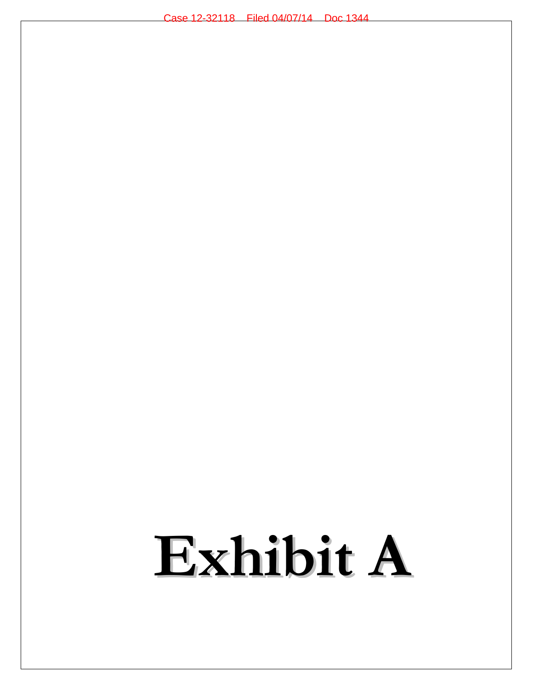# **Exhibit A**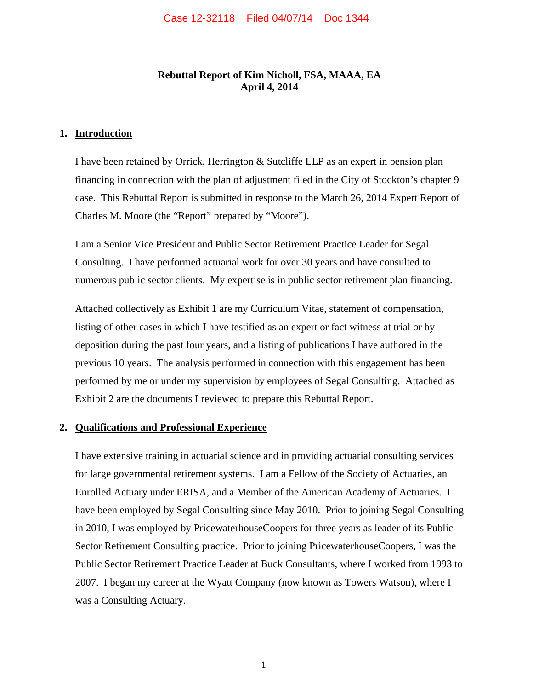## **Rebuttal Report of Kim Nicholl, FSA, MAAA, EA April 4, 2014**

#### **1. Introduction**

I have been retained by Orrick, Herrington & Sutcliffe LLP as an expert in pension plan financing in connection with the plan of adjustment filed in the City of Stockton's chapter 9 case. This Rebuttal Report is submitted in response to the March 26, 2014 Expert Report of Charles M. Moore (the "Report" prepared by "Moore").

I am a Senior Vice President and Public Sector Retirement Practice Leader for Segal Consulting. I have performed actuarial work for over 30 years and have consulted to numerous public sector clients. My expertise is in public sector retirement plan financing.

Attached collectively as Exhibit 1 are my Curriculum Vitae, statement of compensation, listing of other cases in which I have testified as an expert or fact witness at trial or by deposition during the past four years, and a listing of publications I have authored in the previous 10 years. The analysis performed in connection with this engagement has been performed by me or under my supervision by employees of Segal Consulting. Attached as Exhibit 2 are the documents I reviewed to prepare this Rebuttal Report.

#### **2. Qualifications and Professional Experience**

I have extensive training in actuarial science and in providing actuarial consulting services for large governmental retirement systems. I am a Fellow of the Society of Actuaries, an Enrolled Actuary under ERISA, and a Member of the American Academy of Actuaries. I have been employed by Segal Consulting since May 2010. Prior to joining Segal Consulting in 2010, I was employed by PricewaterhouseCoopers for three years as leader of its Public Sector Retirement Consulting practice. Prior to joining PricewaterhouseCoopers, I was the Public Sector Retirement Practice Leader at Buck Consultants, where I worked from 1993 to 2007. I began my career at the Wyatt Company (now known as Towers Watson), where I was a Consulting Actuary.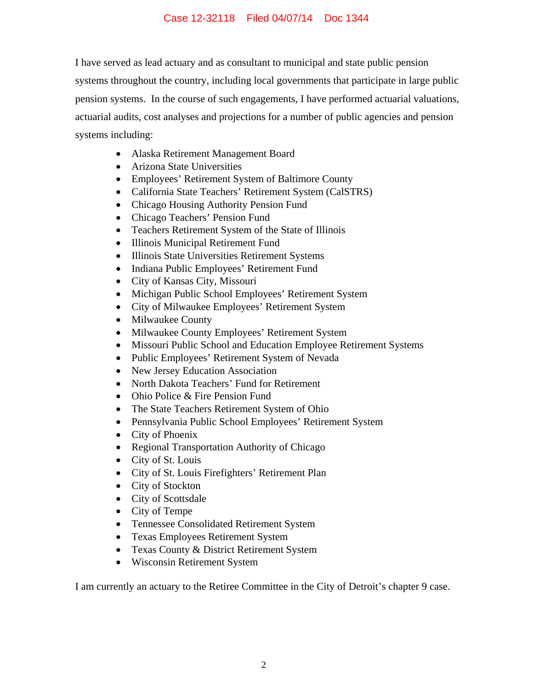I have served as lead actuary and as consultant to municipal and state public pension systems throughout the country, including local governments that participate in large public pension systems. In the course of such engagements, I have performed actuarial valuations, actuarial audits, cost analyses and projections for a number of public agencies and pension systems including:

- Alaska Retirement Management Board
- Arizona State Universities
- Employees' Retirement System of Baltimore County
- California State Teachers' Retirement System (CalSTRS)
- Chicago Housing Authority Pension Fund
- Chicago Teachers' Pension Fund
- Teachers Retirement System of the State of Illinois
- Illinois Municipal Retirement Fund
- Illinois State Universities Retirement Systems
- Indiana Public Employees' Retirement Fund
- City of Kansas City, Missouri
- Michigan Public School Employees' Retirement System
- City of Milwaukee Employees' Retirement System
- Milwaukee County
- Milwaukee County Employees' Retirement System
- Missouri Public School and Education Employee Retirement Systems
- Public Employees' Retirement System of Nevada
- New Jersey Education Association
- North Dakota Teachers' Fund for Retirement
- Ohio Police & Fire Pension Fund
- The State Teachers Retirement System of Ohio
- Pennsylvania Public School Employees' Retirement System
- City of Phoenix
- Regional Transportation Authority of Chicago
- City of St. Louis
- City of St. Louis Firefighters' Retirement Plan
- City of Stockton
- City of Scottsdale
- City of Tempe
- Tennessee Consolidated Retirement System
- Texas Employees Retirement System
- Texas County & District Retirement System
- Wisconsin Retirement System

I am currently an actuary to the Retiree Committee in the City of Detroit's chapter 9 case.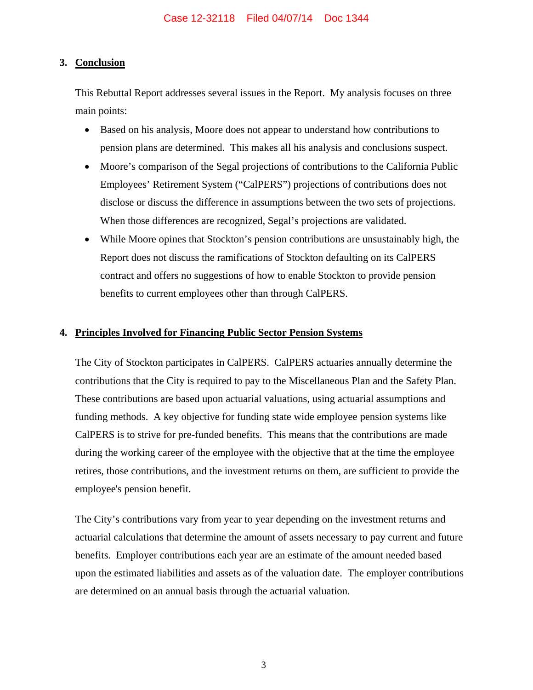## **3. Conclusion**

This Rebuttal Report addresses several issues in the Report. My analysis focuses on three main points:

- Based on his analysis, Moore does not appear to understand how contributions to pension plans are determined. This makes all his analysis and conclusions suspect.
- Moore's comparison of the Segal projections of contributions to the California Public Employees' Retirement System ("CalPERS") projections of contributions does not disclose or discuss the difference in assumptions between the two sets of projections. When those differences are recognized, Segal's projections are validated.
- While Moore opines that Stockton's pension contributions are unsustainably high, the Report does not discuss the ramifications of Stockton defaulting on its CalPERS contract and offers no suggestions of how to enable Stockton to provide pension benefits to current employees other than through CalPERS.

## **4. Principles Involved for Financing Public Sector Pension Systems**

The City of Stockton participates in CalPERS. CalPERS actuaries annually determine the contributions that the City is required to pay to the Miscellaneous Plan and the Safety Plan. These contributions are based upon actuarial valuations, using actuarial assumptions and funding methods. A key objective for funding state wide employee pension systems like CalPERS is to strive for pre-funded benefits. This means that the contributions are made during the working career of the employee with the objective that at the time the employee retires, those contributions, and the investment returns on them, are sufficient to provide the employee's pension benefit.

The City's contributions vary from year to year depending on the investment returns and actuarial calculations that determine the amount of assets necessary to pay current and future benefits. Employer contributions each year are an estimate of the amount needed based upon the estimated liabilities and assets as of the valuation date. The employer contributions are determined on an annual basis through the actuarial valuation.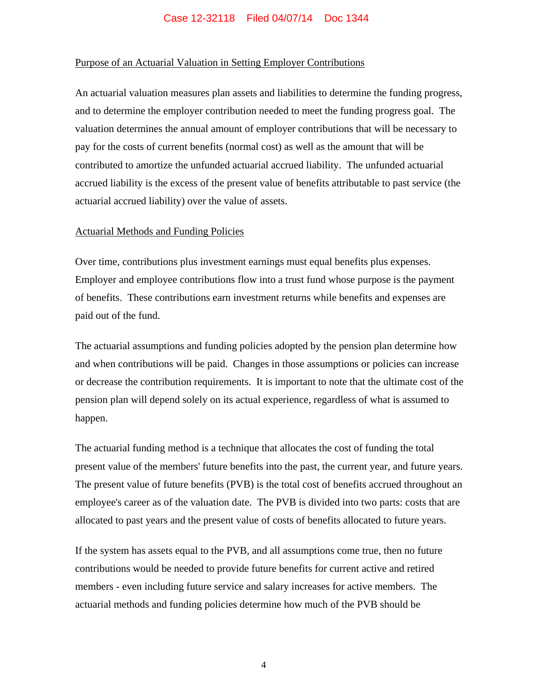## Purpose of an Actuarial Valuation in Setting Employer Contributions

An actuarial valuation measures plan assets and liabilities to determine the funding progress, and to determine the employer contribution needed to meet the funding progress goal. The valuation determines the annual amount of employer contributions that will be necessary to pay for the costs of current benefits (normal cost) as well as the amount that will be contributed to amortize the unfunded actuarial accrued liability. The unfunded actuarial accrued liability is the excess of the present value of benefits attributable to past service (the actuarial accrued liability) over the value of assets.

#### Actuarial Methods and Funding Policies

Over time, contributions plus investment earnings must equal benefits plus expenses. Employer and employee contributions flow into a trust fund whose purpose is the payment of benefits. These contributions earn investment returns while benefits and expenses are paid out of the fund.

The actuarial assumptions and funding policies adopted by the pension plan determine how and when contributions will be paid. Changes in those assumptions or policies can increase or decrease the contribution requirements. It is important to note that the ultimate cost of the pension plan will depend solely on its actual experience, regardless of what is assumed to happen.

The actuarial funding method is a technique that allocates the cost of funding the total present value of the members' future benefits into the past, the current year, and future years. The present value of future benefits (PVB) is the total cost of benefits accrued throughout an employee's career as of the valuation date. The PVB is divided into two parts: costs that are allocated to past years and the present value of costs of benefits allocated to future years.

If the system has assets equal to the PVB, and all assumptions come true, then no future contributions would be needed to provide future benefits for current active and retired members - even including future service and salary increases for active members. The actuarial methods and funding policies determine how much of the PVB should be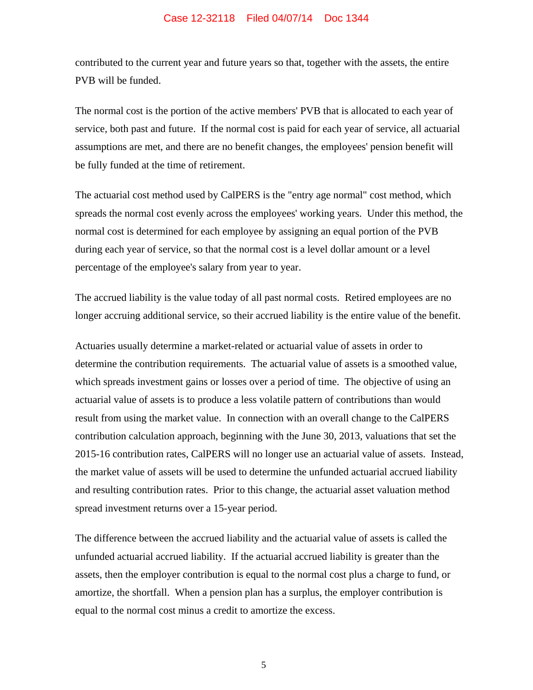contributed to the current year and future years so that, together with the assets, the entire PVB will be funded.

The normal cost is the portion of the active members' PVB that is allocated to each year of service, both past and future. If the normal cost is paid for each year of service, all actuarial assumptions are met, and there are no benefit changes, the employees' pension benefit will be fully funded at the time of retirement.

The actuarial cost method used by CalPERS is the "entry age normal" cost method, which spreads the normal cost evenly across the employees' working years. Under this method, the normal cost is determined for each employee by assigning an equal portion of the PVB during each year of service, so that the normal cost is a level dollar amount or a level percentage of the employee's salary from year to year.

The accrued liability is the value today of all past normal costs. Retired employees are no longer accruing additional service, so their accrued liability is the entire value of the benefit.

Actuaries usually determine a market-related or actuarial value of assets in order to determine the contribution requirements. The actuarial value of assets is a smoothed value, which spreads investment gains or losses over a period of time. The objective of using an actuarial value of assets is to produce a less volatile pattern of contributions than would result from using the market value. In connection with an overall change to the CalPERS contribution calculation approach, beginning with the June 30, 2013, valuations that set the 2015-16 contribution rates, CalPERS will no longer use an actuarial value of assets. Instead, the market value of assets will be used to determine the unfunded actuarial accrued liability and resulting contribution rates. Prior to this change, the actuarial asset valuation method spread investment returns over a 15-year period.

The difference between the accrued liability and the actuarial value of assets is called the unfunded actuarial accrued liability. If the actuarial accrued liability is greater than the assets, then the employer contribution is equal to the normal cost plus a charge to fund, or amortize, the shortfall. When a pension plan has a surplus, the employer contribution is equal to the normal cost minus a credit to amortize the excess.

5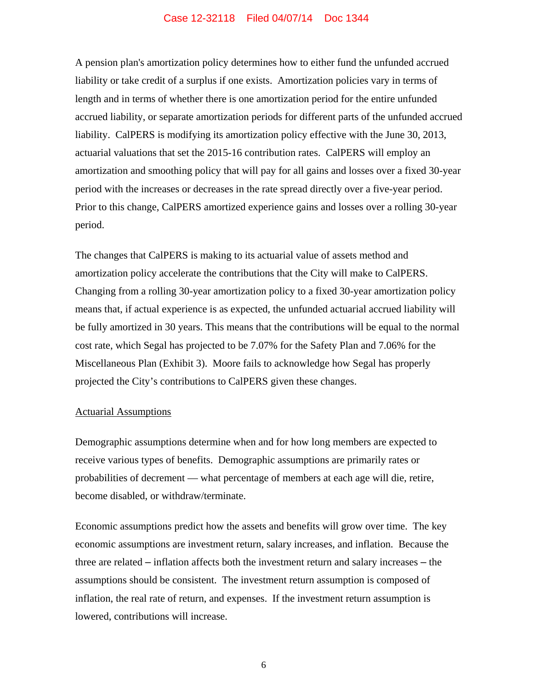A pension plan's amortization policy determines how to either fund the unfunded accrued liability or take credit of a surplus if one exists. Amortization policies vary in terms of length and in terms of whether there is one amortization period for the entire unfunded accrued liability, or separate amortization periods for different parts of the unfunded accrued liability. CalPERS is modifying its amortization policy effective with the June 30, 2013, actuarial valuations that set the 2015-16 contribution rates. CalPERS will employ an amortization and smoothing policy that will pay for all gains and losses over a fixed 30-year period with the increases or decreases in the rate spread directly over a five-year period. Prior to this change, CalPERS amortized experience gains and losses over a rolling 30-year period.

The changes that CalPERS is making to its actuarial value of assets method and amortization policy accelerate the contributions that the City will make to CalPERS. Changing from a rolling 30-year amortization policy to a fixed 30-year amortization policy means that, if actual experience is as expected, the unfunded actuarial accrued liability will be fully amortized in 30 years. This means that the contributions will be equal to the normal cost rate, which Segal has projected to be 7.07% for the Safety Plan and 7.06% for the Miscellaneous Plan (Exhibit 3). Moore fails to acknowledge how Segal has properly projected the City's contributions to CalPERS given these changes.

#### Actuarial Assumptions

Demographic assumptions determine when and for how long members are expected to receive various types of benefits. Demographic assumptions are primarily rates or probabilities of decrement — what percentage of members at each age will die, retire, become disabled, or withdraw/terminate.

Economic assumptions predict how the assets and benefits will grow over time. The key economic assumptions are investment return, salary increases, and inflation. Because the three are related – inflation affects both the investment return and salary increases – the assumptions should be consistent. The investment return assumption is composed of inflation, the real rate of return, and expenses. If the investment return assumption is lowered, contributions will increase.

6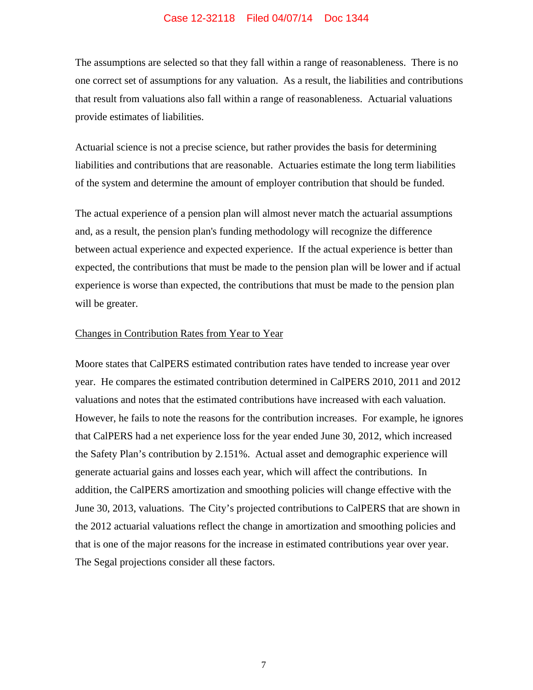The assumptions are selected so that they fall within a range of reasonableness. There is no one correct set of assumptions for any valuation. As a result, the liabilities and contributions that result from valuations also fall within a range of reasonableness. Actuarial valuations provide estimates of liabilities.

Actuarial science is not a precise science, but rather provides the basis for determining liabilities and contributions that are reasonable. Actuaries estimate the long term liabilities of the system and determine the amount of employer contribution that should be funded.

The actual experience of a pension plan will almost never match the actuarial assumptions and, as a result, the pension plan's funding methodology will recognize the difference between actual experience and expected experience. If the actual experience is better than expected, the contributions that must be made to the pension plan will be lower and if actual experience is worse than expected, the contributions that must be made to the pension plan will be greater.

#### Changes in Contribution Rates from Year to Year

Moore states that CalPERS estimated contribution rates have tended to increase year over year. He compares the estimated contribution determined in CalPERS 2010, 2011 and 2012 valuations and notes that the estimated contributions have increased with each valuation. However, he fails to note the reasons for the contribution increases. For example, he ignores that CalPERS had a net experience loss for the year ended June 30, 2012, which increased the Safety Plan's contribution by 2.151%. Actual asset and demographic experience will generate actuarial gains and losses each year, which will affect the contributions. In addition, the CalPERS amortization and smoothing policies will change effective with the June 30, 2013, valuations. The City's projected contributions to CalPERS that are shown in the 2012 actuarial valuations reflect the change in amortization and smoothing policies and that is one of the major reasons for the increase in estimated contributions year over year. The Segal projections consider all these factors.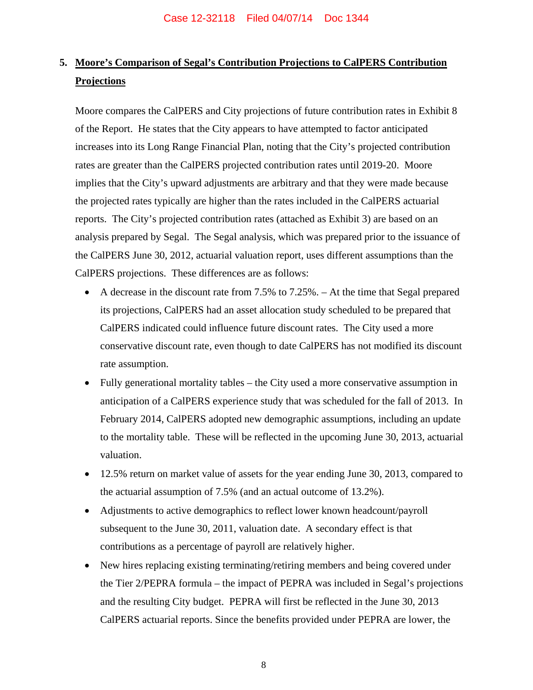# **5. Moore's Comparison of Segal's Contribution Projections to CalPERS Contribution Projections**

Moore compares the CalPERS and City projections of future contribution rates in Exhibit 8 of the Report. He states that the City appears to have attempted to factor anticipated increases into its Long Range Financial Plan, noting that the City's projected contribution rates are greater than the CalPERS projected contribution rates until 2019-20. Moore implies that the City's upward adjustments are arbitrary and that they were made because the projected rates typically are higher than the rates included in the CalPERS actuarial reports. The City's projected contribution rates (attached as Exhibit 3) are based on an analysis prepared by Segal. The Segal analysis, which was prepared prior to the issuance of the CalPERS June 30, 2012, actuarial valuation report, uses different assumptions than the CalPERS projections. These differences are as follows:

- A decrease in the discount rate from 7.5% to 7.25%. At the time that Segal prepared its projections, CalPERS had an asset allocation study scheduled to be prepared that CalPERS indicated could influence future discount rates. The City used a more conservative discount rate, even though to date CalPERS has not modified its discount rate assumption.
- Fully generational mortality tables the City used a more conservative assumption in anticipation of a CalPERS experience study that was scheduled for the fall of 2013. In February 2014, CalPERS adopted new demographic assumptions, including an update to the mortality table. These will be reflected in the upcoming June 30, 2013, actuarial valuation.
- 12.5% return on market value of assets for the year ending June 30, 2013, compared to the actuarial assumption of 7.5% (and an actual outcome of 13.2%).
- Adjustments to active demographics to reflect lower known headcount/payroll subsequent to the June 30, 2011, valuation date. A secondary effect is that contributions as a percentage of payroll are relatively higher.
- New hires replacing existing terminating/retiring members and being covered under the Tier 2/PEPRA formula – the impact of PEPRA was included in Segal's projections and the resulting City budget. PEPRA will first be reflected in the June 30, 2013 CalPERS actuarial reports. Since the benefits provided under PEPRA are lower, the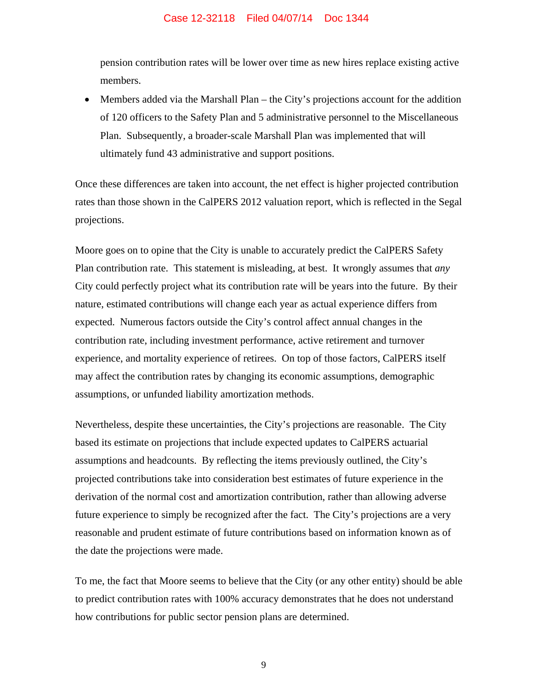pension contribution rates will be lower over time as new hires replace existing active members.

 Members added via the Marshall Plan – the City's projections account for the addition of 120 officers to the Safety Plan and 5 administrative personnel to the Miscellaneous Plan. Subsequently, a broader-scale Marshall Plan was implemented that will ultimately fund 43 administrative and support positions.

Once these differences are taken into account, the net effect is higher projected contribution rates than those shown in the CalPERS 2012 valuation report, which is reflected in the Segal projections.

Moore goes on to opine that the City is unable to accurately predict the CalPERS Safety Plan contribution rate. This statement is misleading, at best. It wrongly assumes that *any* City could perfectly project what its contribution rate will be years into the future. By their nature, estimated contributions will change each year as actual experience differs from expected. Numerous factors outside the City's control affect annual changes in the contribution rate, including investment performance, active retirement and turnover experience, and mortality experience of retirees. On top of those factors, CalPERS itself may affect the contribution rates by changing its economic assumptions, demographic assumptions, or unfunded liability amortization methods.

Nevertheless, despite these uncertainties, the City's projections are reasonable. The City based its estimate on projections that include expected updates to CalPERS actuarial assumptions and headcounts. By reflecting the items previously outlined, the City's projected contributions take into consideration best estimates of future experience in the derivation of the normal cost and amortization contribution, rather than allowing adverse future experience to simply be recognized after the fact. The City's projections are a very reasonable and prudent estimate of future contributions based on information known as of the date the projections were made.

To me, the fact that Moore seems to believe that the City (or any other entity) should be able to predict contribution rates with 100% accuracy demonstrates that he does not understand how contributions for public sector pension plans are determined.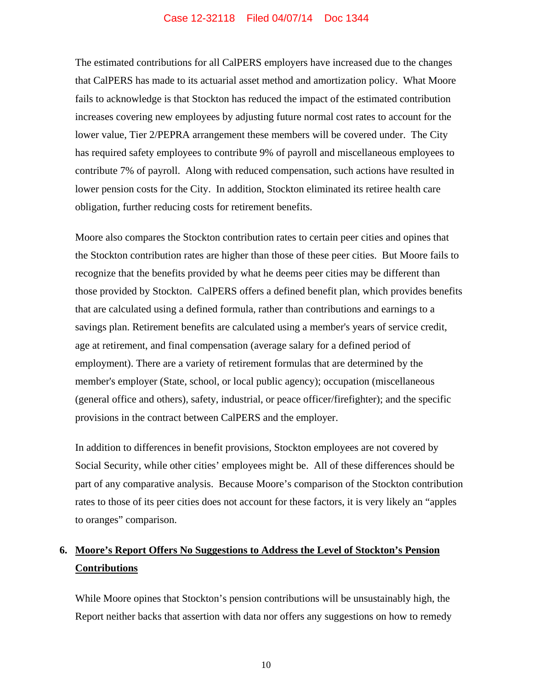The estimated contributions for all CalPERS employers have increased due to the changes that CalPERS has made to its actuarial asset method and amortization policy. What Moore fails to acknowledge is that Stockton has reduced the impact of the estimated contribution increases covering new employees by adjusting future normal cost rates to account for the lower value, Tier 2/PEPRA arrangement these members will be covered under. The City has required safety employees to contribute 9% of payroll and miscellaneous employees to contribute 7% of payroll. Along with reduced compensation, such actions have resulted in lower pension costs for the City. In addition, Stockton eliminated its retiree health care obligation, further reducing costs for retirement benefits.

Moore also compares the Stockton contribution rates to certain peer cities and opines that the Stockton contribution rates are higher than those of these peer cities. But Moore fails to recognize that the benefits provided by what he deems peer cities may be different than those provided by Stockton. CalPERS offers a defined benefit plan, which provides benefits that are calculated using a defined formula, rather than contributions and earnings to a savings plan. Retirement benefits are calculated using a member's years of service credit, age at retirement, and final compensation (average salary for a defined period of employment). There are a variety of retirement formulas that are determined by the member's employer (State, school, or local public agency); occupation (miscellaneous (general office and others), safety, industrial, or peace officer/firefighter); and the specific provisions in the contract between CalPERS and the employer.

In addition to differences in benefit provisions, Stockton employees are not covered by Social Security, while other cities' employees might be. All of these differences should be part of any comparative analysis. Because Moore's comparison of the Stockton contribution rates to those of its peer cities does not account for these factors, it is very likely an "apples to oranges" comparison.

# **6. Moore's Report Offers No Suggestions to Address the Level of Stockton's Pension Contributions**

While Moore opines that Stockton's pension contributions will be unsustainably high, the Report neither backs that assertion with data nor offers any suggestions on how to remedy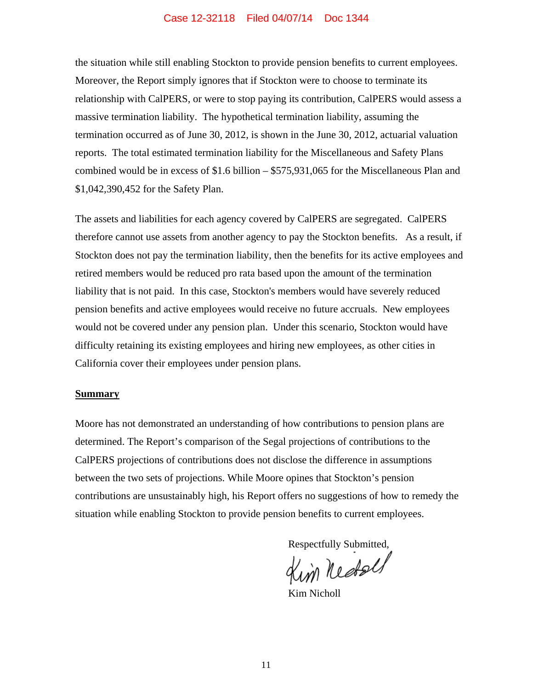the situation while still enabling Stockton to provide pension benefits to current employees. Moreover, the Report simply ignores that if Stockton were to choose to terminate its relationship with CalPERS, or were to stop paying its contribution, CalPERS would assess a massive termination liability. The hypothetical termination liability, assuming the termination occurred as of June 30, 2012, is shown in the June 30, 2012, actuarial valuation reports. The total estimated termination liability for the Miscellaneous and Safety Plans combined would be in excess of \$1.6 billion – \$575,931,065 for the Miscellaneous Plan and \$1,042,390,452 for the Safety Plan.

The assets and liabilities for each agency covered by CalPERS are segregated. CalPERS therefore cannot use assets from another agency to pay the Stockton benefits. As a result, if Stockton does not pay the termination liability, then the benefits for its active employees and retired members would be reduced pro rata based upon the amount of the termination liability that is not paid. In this case, Stockton's members would have severely reduced pension benefits and active employees would receive no future accruals. New employees would not be covered under any pension plan. Under this scenario, Stockton would have difficulty retaining its existing employees and hiring new employees, as other cities in California cover their employees under pension plans.

#### **Summary**

Moore has not demonstrated an understanding of how contributions to pension plans are determined. The Report's comparison of the Segal projections of contributions to the CalPERS projections of contributions does not disclose the difference in assumptions between the two sets of projections. While Moore opines that Stockton's pension contributions are unsustainably high, his Report offers no suggestions of how to remedy the situation while enabling Stockton to provide pension benefits to current employees.

Respectfully Submitted,

Kim Nicholl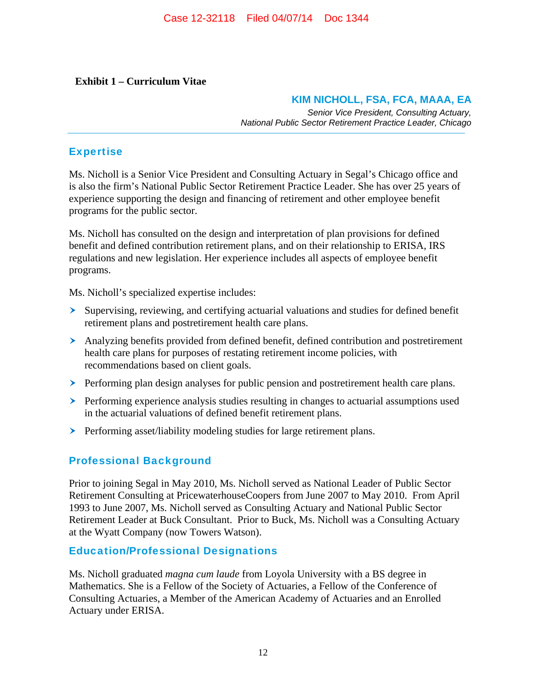## **Exhibit 1 – Curriculum Vitae**

## **KIM NICHOLL, FSA, FCA, MAAA, EA**

*Senior Vice President, Consulting Actuary, National Public Sector Retirement Practice Leader, Chicago*

## Expertise

Ms. Nicholl is a Senior Vice President and Consulting Actuary in Segal's Chicago office and is also the firm's National Public Sector Retirement Practice Leader. She has over 25 years of experience supporting the design and financing of retirement and other employee benefit programs for the public sector.

Ms. Nicholl has consulted on the design and interpretation of plan provisions for defined benefit and defined contribution retirement plans, and on their relationship to ERISA, IRS regulations and new legislation. Her experience includes all aspects of employee benefit programs.

Ms. Nicholl's specialized expertise includes:

- Supervising, reviewing, and certifying actuarial valuations and studies for defined benefit retirement plans and postretirement health care plans.
- Analyzing benefits provided from defined benefit, defined contribution and postretirement health care plans for purposes of restating retirement income policies, with recommendations based on client goals.
- $\triangleright$  Performing plan design analyses for public pension and postretirement health care plans.
- $\triangleright$  Performing experience analysis studies resulting in changes to actuarial assumptions used in the actuarial valuations of defined benefit retirement plans.
- **Performing asset/liability modeling studies for large retirement plans.**

## Professional Background

Prior to joining Segal in May 2010, Ms. Nicholl served as National Leader of Public Sector Retirement Consulting at PricewaterhouseCoopers from June 2007 to May 2010. From April 1993 to June 2007, Ms. Nicholl served as Consulting Actuary and National Public Sector Retirement Leader at Buck Consultant. Prior to Buck, Ms. Nicholl was a Consulting Actuary at the Wyatt Company (now Towers Watson).

## Education/Professional Designations

Ms. Nicholl graduated *magna cum laude* from Loyola University with a BS degree in Mathematics. She is a Fellow of the Society of Actuaries, a Fellow of the Conference of Consulting Actuaries, a Member of the American Academy of Actuaries and an Enrolled Actuary under ERISA.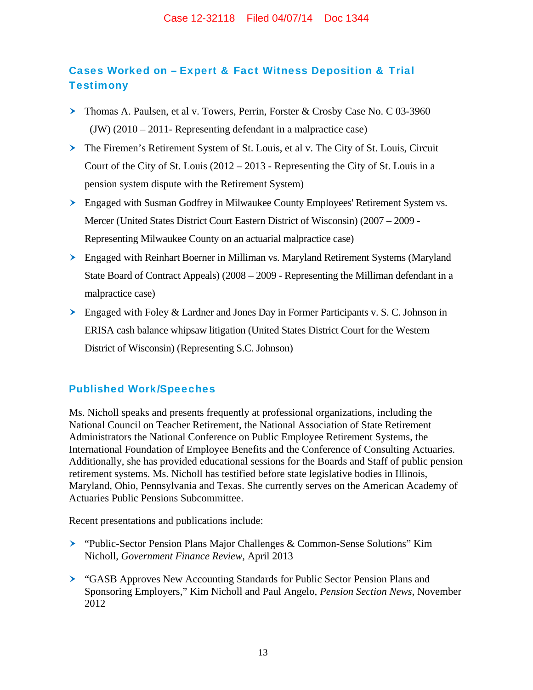# Cases Worked on – Expert & Fact Witness Deposition & Trial **Testimony**

- Thomas A. Paulsen, et al v. Towers, Perrin, Forster & Crosby Case No. C 03-3960 (JW) (2010 – 2011- Representing defendant in a malpractice case)
- The Firemen's Retirement System of St. Louis, et al v. The City of St. Louis, Circuit Court of the City of St. Louis (2012 – 2013 - Representing the City of St. Louis in a pension system dispute with the Retirement System)
- Engaged with Susman Godfrey in Milwaukee County Employees' Retirement System vs. Mercer (United States District Court Eastern District of Wisconsin) (2007 – 2009 - Representing Milwaukee County on an actuarial malpractice case)
- Engaged with Reinhart Boerner in Milliman vs. Maryland Retirement Systems (Maryland State Board of Contract Appeals) (2008 – 2009 - Representing the Milliman defendant in a malpractice case)
- $\geq$  Engaged with Foley & Lardner and Jones Day in Former Participants v. S. C. Johnson in ERISA cash balance whipsaw litigation (United States District Court for the Western District of Wisconsin) (Representing S.C. Johnson)

## Published Work/Speeches

Ms. Nicholl speaks and presents frequently at professional organizations, including the National Council on Teacher Retirement, the National Association of State Retirement Administrators the National Conference on Public Employee Retirement Systems, the International Foundation of Employee Benefits and the Conference of Consulting Actuaries. Additionally, she has provided educational sessions for the Boards and Staff of public pension retirement systems. Ms. Nicholl has testified before state legislative bodies in Illinois, Maryland, Ohio, Pennsylvania and Texas. She currently serves on the American Academy of Actuaries Public Pensions Subcommittee.

Recent presentations and publications include:

- "Public-Sector Pension Plans Major Challenges & Common-Sense Solutions" Kim Nicholl, *Government Finance Review,* April 2013
- "GASB Approves New Accounting Standards for Public Sector Pension Plans and Sponsoring Employers," Kim Nicholl and Paul Angelo, *Pension Section News*, November 2012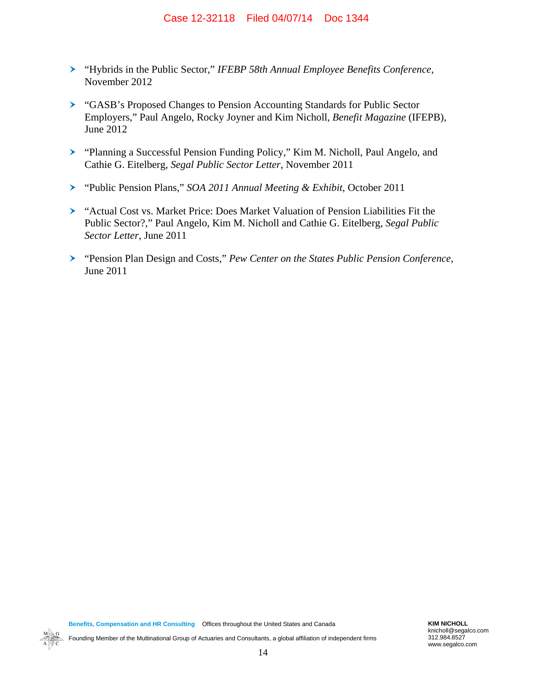- "Hybrids in the Public Sector," *IFEBP 58th Annual Employee Benefits Conference*, November 2012
- "GASB's Proposed Changes to Pension Accounting Standards for Public Sector Employers," Paul Angelo, Rocky Joyner and Kim Nicholl, *Benefit Magazine* (IFEPB), June 2012
- "Planning a Successful Pension Funding Policy," Kim M. Nicholl, Paul Angelo, and Cathie G. Eitelberg, *Segal Public Sector Letter*, November 2011
- "Public Pension Plans," *SOA 2011 Annual Meeting & Exhibit*, October 2011
- "Actual Cost vs. Market Price: Does Market Valuation of Pension Liabilities Fit the Public Sector?," Paul Angelo, Kim M. Nicholl and Cathie G. Eitelberg, *Segal Public Sector Letter*, June 2011
- "Pension Plan Design and Costs," *Pew Center on the States Public Pension Conference*, June 2011

knicholl@segalco.com 312.984.8527 www.segalco.com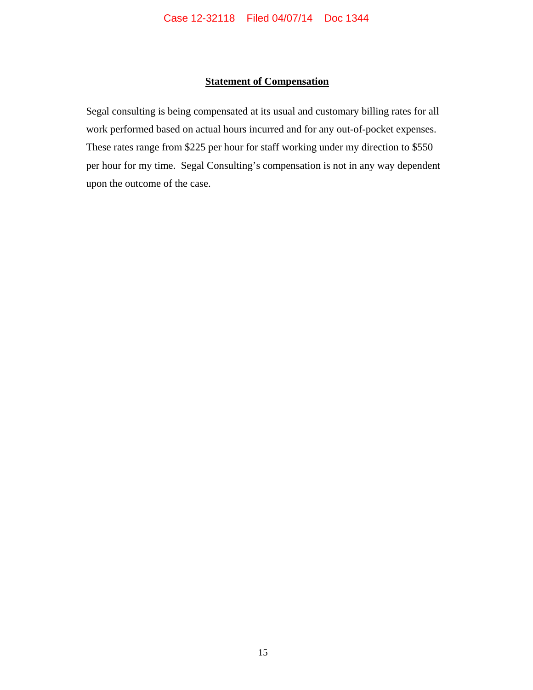## **Statement of Compensation**

Segal consulting is being compensated at its usual and customary billing rates for all work performed based on actual hours incurred and for any out-of-pocket expenses. These rates range from \$225 per hour for staff working under my direction to \$550 per hour for my time. Segal Consulting's compensation is not in any way dependent upon the outcome of the case.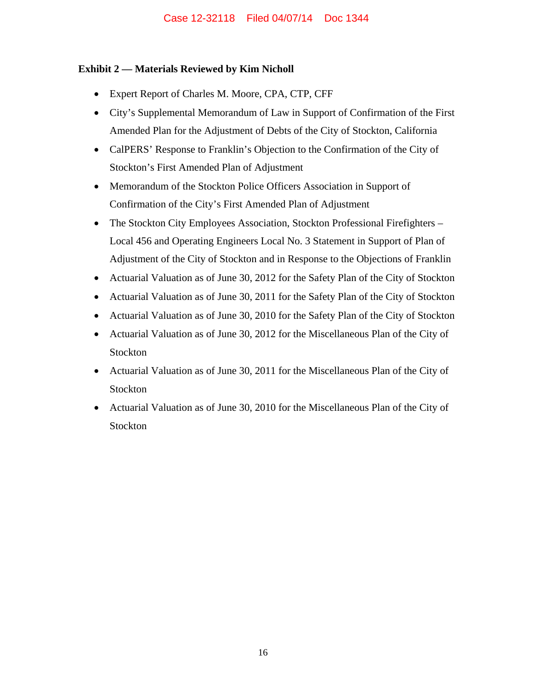## **Exhibit 2 — Materials Reviewed by Kim Nicholl**

- Expert Report of Charles M. Moore, CPA, CTP, CFF
- City's Supplemental Memorandum of Law in Support of Confirmation of the First Amended Plan for the Adjustment of Debts of the City of Stockton, California
- CalPERS' Response to Franklin's Objection to the Confirmation of the City of Stockton's First Amended Plan of Adjustment
- Memorandum of the Stockton Police Officers Association in Support of Confirmation of the City's First Amended Plan of Adjustment
- The Stockton City Employees Association, Stockton Professional Firefighters Local 456 and Operating Engineers Local No. 3 Statement in Support of Plan of Adjustment of the City of Stockton and in Response to the Objections of Franklin
- Actuarial Valuation as of June 30, 2012 for the Safety Plan of the City of Stockton
- Actuarial Valuation as of June 30, 2011 for the Safety Plan of the City of Stockton
- Actuarial Valuation as of June 30, 2010 for the Safety Plan of the City of Stockton
- Actuarial Valuation as of June 30, 2012 for the Miscellaneous Plan of the City of Stockton
- Actuarial Valuation as of June 30, 2011 for the Miscellaneous Plan of the City of Stockton
- Actuarial Valuation as of June 30, 2010 for the Miscellaneous Plan of the City of Stockton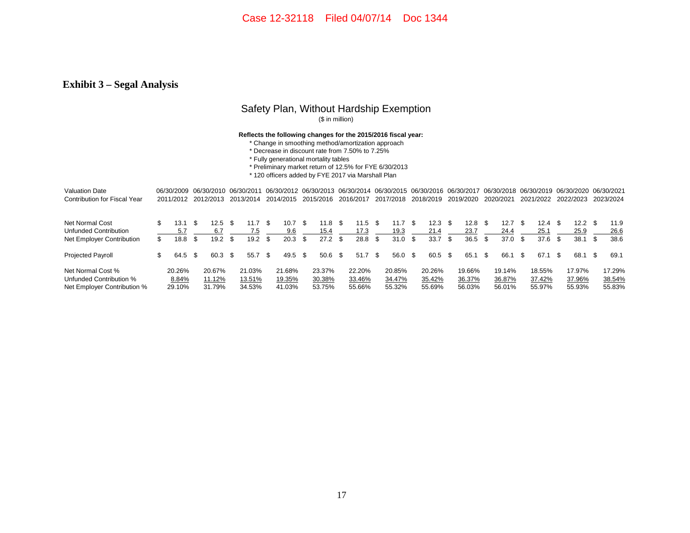#### **Exhibit 3 – Segal Analysis**

## Safety Plan, Without Hardship Exemption

(\$ in million)

#### **Reflects the following changes for the 2015/2016 fiscal year:**

- \* Change in smoothing method/amortization approach
- \* Decrease in discount rate from 7.50% to 7.25%
- \* Fully generational mortality tables
- \* Preliminary market return of 12.5% for FYE 6/30/2013
- \* 120 officers added by FYE 2017 via Marshall Plan

| <b>Valuation Date</b>               |     | 06/30/2009 06/30/2010 06/30/2011 |      |           |     |           |     |           |      |           |      |           |      | 06/30/2012 06/30/2013 06/30/2014 06/30/2015 06/30/2016 06/30/2017 |      |           |     |           |      |           |      | 06/30/2018 06/30/2019 06/30/2020 |                   |      | 06/30/2021 |
|-------------------------------------|-----|----------------------------------|------|-----------|-----|-----------|-----|-----------|------|-----------|------|-----------|------|-------------------------------------------------------------------|------|-----------|-----|-----------|------|-----------|------|----------------------------------|-------------------|------|------------|
| <b>Contribution for Fiscal Year</b> |     | 2011/2012                        |      | 2012/2013 |     | 2013/2014 |     | 2014/2015 |      | 2015/2016 |      | 2016/2017 |      | 2017/2018                                                         |      | 2018/2019 |     | 2019/2020 |      | 2020/2021 |      | 2021/2022                        | 2022/2023         |      | 2023/2024  |
| Net Normal Cost                     | \$  | 13.1                             | - \$ | 12.5      | -S  | 11.7      | -S  | 10.7      | -SS  | 11.8      | - \$ | $11.5$ \$ |      | 11.7                                                              | -\$  | 12.3      | \$. | 12.8      | - 96 | 12.7      | £.   | 12.4 <sup>5</sup>                | 12.2 <sup>5</sup> |      | 11.9       |
| Unfunded Contribution               |     | 5.7                              |      | 6.7       |     | 7.5       |     | 9.6       |      | 15.4      |      | 17.3      |      | 19.3                                                              |      | 21.4      |     | 23.7      |      | 24.4      |      | 25.1                             | 25.9              |      | 26.6       |
| Net Employer Contribution           | \$. | 18.8                             | - \$ | 19.2      |     | 19.2      | \$. | 20.3      | S    | 27.2      |      | 28.8      | - \$ | 31.0                                                              | - \$ | 33.7      | \$. | 36.5      |      | 37.0      | \$.  | 37.6                             | 38.1              | - \$ | 38.6       |
| <b>Projected Payroll</b>            | \$  | 64.5                             | - \$ | 60.3      | \$. | 55.7      | \$. | 49.5      | - \$ | $50.6$ \$ |      | 51.7      | - \$ | 56.0                                                              | - \$ | 60.5      | \$. | 65.1      | \$.  | 66.1      | - \$ | 67.1                             | 68.1              | - \$ | 69.1       |
| Net Normal Cost %                   |     | 20.26%                           |      | 20.67%    |     | 21.03%    |     | 21.68%    |      | 23.37%    |      | 22.20%    |      | 20.85%                                                            |      | 20.26%    |     | 19.66%    |      | 19.14%    |      | 18.55%                           | 17.97%            |      | 17.29%     |
| Unfunded Contribution %             |     | 8.84%                            |      | 11.12%    |     | 13.51%    |     | 19.35%    |      | 30.38%    |      | 33.46%    |      | 34.47%                                                            |      | 35.42%    |     | 36.37%    |      | 36.87%    |      | 37.42%                           | 37.96%            |      | 38.54%     |
| Net Employer Contribution %         |     | 29.10%                           |      | 31.79%    |     | 34.53%    |     | 41.03%    |      | 53.75%    |      | 55.66%    |      | 55.32%                                                            |      | 55.69%    |     | 56.03%    |      | 56.01%    |      | 55.97%                           | 55.93%            |      | 55.83%     |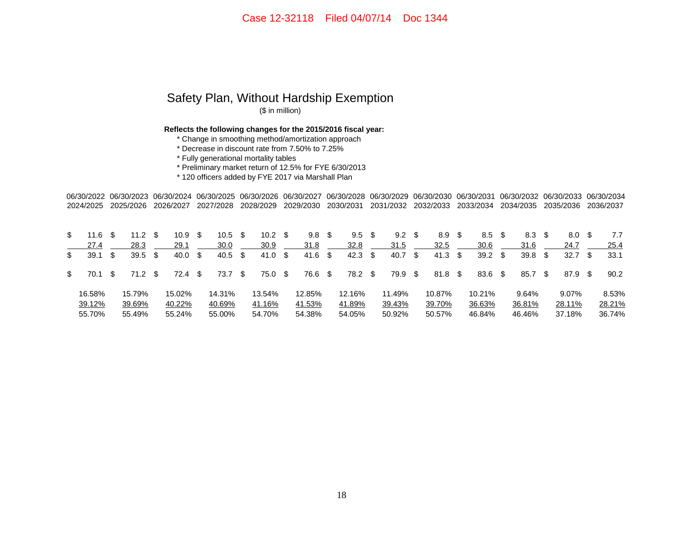#### Safety Plan, Without Hardship Exemption (\$ in million)

**Reflects the following changes for the 2015/2016 fiscal year:**

\* Change in smoothing method/amortization approach

\* Decrease in discount rate from 7.50% to 7.25%

\* Fully generational mortality tables

\* Preliminary market return of 12.5% for FYE 6/30/2013

\* 120 officers added by FYE 2017 via Marshall Plan

06/30/2022 06/30/2023 06/30/2024 06/30/2025 06/30/2026 06/30/2027 06/30/2028 06/30/2029 06/30/2030 06/30/2031 06/30/2032 06/30/2033 06/30/2034 2024/2025 2025/2026 2026/2027 2027/2028 2028/2029 2029/2030 2030/2031 2031/2032 2032/2033 2033/2034 2034/2035 2035/2036 2036/2037

| \$  | 11.6   |     | 11.2      | 10.9 <sup>5</sup> | 10.5               | - \$     | 10.2   | - \$ | 9.8     | S    | 9.5       | $9.2 \quad $$ | 8.9            | 8.5    |      | 8.3    |      | 8.0               | 7.7    |
|-----|--------|-----|-----------|-------------------|--------------------|----------|--------|------|---------|------|-----------|---------------|----------------|--------|------|--------|------|-------------------|--------|
|     | 27.4   |     | 28.3      | 29.1              | 30.0               |          | 30.9   |      | 31.8    |      | 32.8      | 31.5          | 32.5           | 30.6   |      | 31.6   |      | 24.7              | 25.4   |
| \$  | 39.1   |     | $39.5$ \$ | 40.0 S            | $40.5 \text{ } $s$ |          | 41.0   | - \$ | 41.6    | - \$ | $42.3$ \$ | 40.7 \$       | $41.3 \quad $$ | 39.2   | - \$ | 39.8   | - \$ | 32.7 <sup>5</sup> | 33.1   |
| \$. | 70.1   | -SS | 71.2 \$   | 72.4 \$           | 73.7               | <b>S</b> | 75.0   | - \$ | 76.6 \$ |      | 78.2 \$   | 79.9 \$       | 81.8 \$        | 83.6   | - \$ | 85.7   | - \$ | 87.9 \$           | 90.2   |
|     | 16.58% |     | 15.79%    | 15.02%            | 14.31%             |          | 13.54% |      | 12.85%  |      | 12.16%    | 11.49%        | 10.87%         | 10.21% |      | 9.64%  |      | 9.07%             | 8.53%  |
|     | 39.12% |     | 39.69%    | 40.22%            | 40.69%             |          | 41.16% |      | 41.53%  |      | 41.89%    | 39.43%        | 39.70%         | 36.63% |      | 36.81% |      | 28.11%            | 28.21% |
|     | 55.70% |     | 55.49%    | 55.24%            | 55.00%             |          | 54.70% |      | 54.38%  |      | 54.05%    | 50.92%        | 50.57%         | 46.84% |      | 46.46% |      | 37.18%            | 36.74% |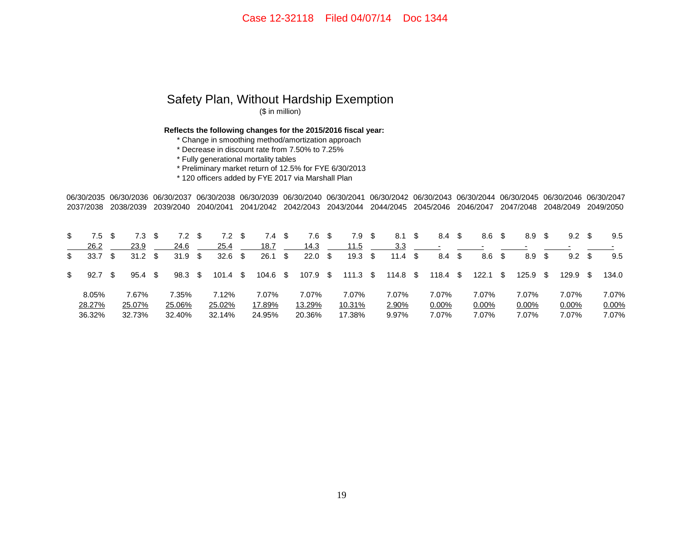## Safety Plan, Without Hardship Exemption (\$ in million)

**Reflects the following changes for the 2015/2016 fiscal year:**

\* Change in smoothing method/amortization approach

\* Decrease in discount rate from 7.50% to 7.25%

\* Fully generational mortality tables

\* Preliminary market return of 12.5% for FYE 6/30/2013

\* 120 officers added by FYE 2017 via Marshall Plan

06/30/2035 06/30/2036 06/30/2037 06/30/2038 06/30/2039 06/30/2040 06/30/2041 06/30/2042 06/30/2043 06/30/2044 06/30/2045 06/30/2046 06/30/20472037/2038 2038/2039 2039/2040 2040/2041 2041/2042 2042/2043 2043/2044 2044/2045 2045/2046 2046/2047 2047/2048 2048/2049 2049/2050

| \$<br>7.5  |     | 7.3               | 7.2               | 7.2        | 7.4      | S  | 7.6      |     | 7.9              | - \$ | 8.1             | - \$ | 8.4      | - \$ | 8.6   | - \$ | 8.9   | S    | 9.2      |   | 9.5   |
|------------|-----|-------------------|-------------------|------------|----------|----|----------|-----|------------------|------|-----------------|------|----------|------|-------|------|-------|------|----------|---|-------|
| 26.2       |     | 23.9              | 24.6              | 25.4       | 18.7     |    | 14.3     |     | 11.5             |      | 3.3             |      |          |      |       |      |       |      |          |   |       |
| \$<br>33.7 | -SS | 31.2 <sup>5</sup> | 31.9 <sup>5</sup> | $32.6$ \$  | 26.1     | \$ | 22.0     | -\$ | 19.3             | - \$ | 11.4 $\sqrt{3}$ |      | 8.4      | - \$ | 8.6   | \$   | 8.9   | \$   | 9.2      | S | 9.5   |
| \$<br>92.7 |     | 95.4 <sup>5</sup> | $98.3 \quad $$    | $101.4$ \$ | 104.6 \$ |    | 107.9 \$ |     | 111.3 $\sqrt{3}$ |      | 114.8 \$        |      | 118.4    | SS.  | 122.1 | - \$ | 125.9 | - \$ | 129.9 \$ |   | 134.0 |
| 8.05%      |     | 7.67%             | 7.35%             | 7.12%      | 7.07%    |    | 7.07%    |     | 7.07%            |      | 7.07%           |      | 7.07%    |      | 7.07% |      | 7.07% |      | 7.07%    |   | 7.07% |
| 28.27%     |     | 25.07%            | 25.06%            | 25.02%     | 17.89%   |    | 13.29%   |     | 10.31%           |      | 2.90%           |      | $0.00\%$ |      | 0.00% |      | 0.00% |      | $0.00\%$ |   | 0.00% |
| 36.32%     |     | 32.73%            | 32.40%            | 32.14%     | 24.95%   |    | 20.36%   |     | 17.38%           |      | 9.97%           |      | 7.07%    |      | 7.07% |      | 7.07% |      | 7.07%    |   | 7.07% |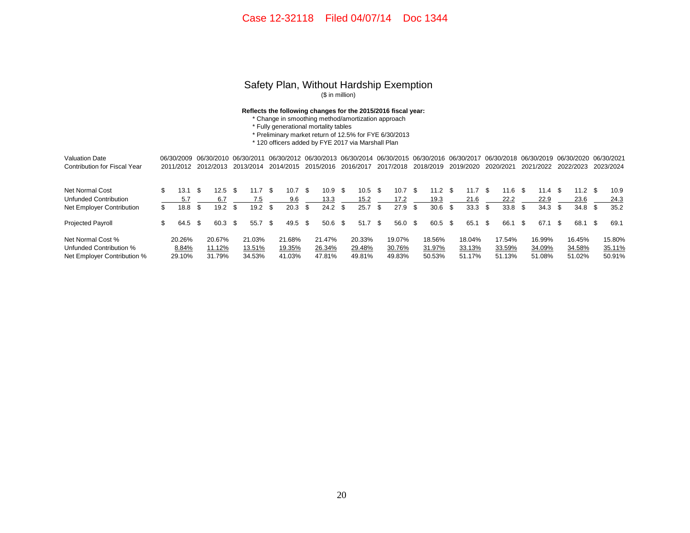#### Safety Plan, Without Hardship Exemption (\$ in million)

#### **Reflects the following changes for the 2015/2016 fiscal year:**

- \* Change in smoothing method/amortization approach
- \* Fully generational mortality tables
- \* Preliminary market return of 12.5% for FYE 6/30/2013

\* 120 officers added by FYE 2017 via Marshall Plan

| <b>Valuation Date</b>               |     | 06/30/2009 |     | 06/30/2010 |      | 06/30/2011 |      |        |      | 06/30/2012 06/30/2013 06/30/2014 06/30/2015 06/30/2016 06/30/2017 |     |           |      |                   |      |           |      |           |      |           |      |           |      | 06/30/2018 06/30/2019 06/30/2020 06/30/2021 |      |           |
|-------------------------------------|-----|------------|-----|------------|------|------------|------|--------|------|-------------------------------------------------------------------|-----|-----------|------|-------------------|------|-----------|------|-----------|------|-----------|------|-----------|------|---------------------------------------------|------|-----------|
| <b>Contribution for Fiscal Year</b> |     | 2011/2012  |     | 2012/2013  |      | 2013/2014  |      |        |      | 2014/2015 2015/2016                                               |     | 2016/2017 |      | 2017/2018         |      | 2018/2019 |      | 2019/2020 |      | 2020/2021 |      | 2021/2022 |      | 2022/2023                                   |      | 2023/2024 |
| Net Normal Cost                     |     | 13.1       |     | $12.5$ \$  |      | 11.7       | - SS | 10.7   | -SS  | 10.9                                                              | - S | $10.5-5$  |      | 10.7              | - \$ | 11.2      | - \$ | 11.7      | - \$ | 11.6      | - 35 | 11.4 S    |      | 11.2 <sup>5</sup>                           |      | 10.9      |
| Unfunded Contribution               |     | 5.7        |     | 6.7        |      | 7.5        |      | 9.6    |      | 13.3                                                              |     | 15.2      |      | 17.2              |      | 19.3      |      | 21.6      |      | 22.2      |      | 22.9      |      | 23.6                                        |      | 24.3      |
| Net Employer Contribution           | \$  | 18.8       | \$. | 19.2       | - \$ | 19.2       | - \$ | 20.3   | -SS  | 24.2                                                              | -\$ | 25.7      | - \$ | $27.9$ \$         |      | 30.6      | \$.  | 33.3      | \$.  | 33.8      | \$.  | 34.3      | - \$ | 34.8 <sup>5</sup>                           |      | 35.2      |
| <b>Projected Payroll</b>            | \$. | 64.5       | -S  | 60.3 \$    |      | 55.7       | - \$ | 49.5   | - \$ | 50.6                                                              | -96 | 51.7      | - \$ | $56.0 \text{ } $$ |      | 60.5      | - \$ | 65.1      | -\$  | 66.1      | - \$ | 67.1      |      | 68.1                                        | - \$ | 69.1      |
| Net Normal Cost %                   |     | 20.26%     |     | 20.67%     |      | 21.03%     |      | 21.68% |      | 21.47%                                                            |     | 20.33%    |      | 19.07%            |      | 18.56%    |      | 18.04%    |      | 17.54%    |      | 16.99%    |      | 16.45%                                      |      | 15.80%    |
| Unfunded Contribution %             |     | 8.84%      |     | 11.12%     |      | 13.51%     |      | 19.35% |      | 26.34%                                                            |     | 29.48%    |      | 30.76%            |      | 31.97%    |      | 33.13%    |      | 33.59%    |      | 34.09%    |      | 34.58%                                      |      | 35.11%    |
| Net Employer Contribution %         |     | 29.10%     |     | 31.79%     |      | 34.53%     |      | 41.03% |      | 47.81%                                                            |     | 49.81%    |      | 49.83%            |      | 50.53%    |      | 51.17%    |      | 51.13%    |      | 51.08%    |      | 51.02%                                      |      | 50.91%    |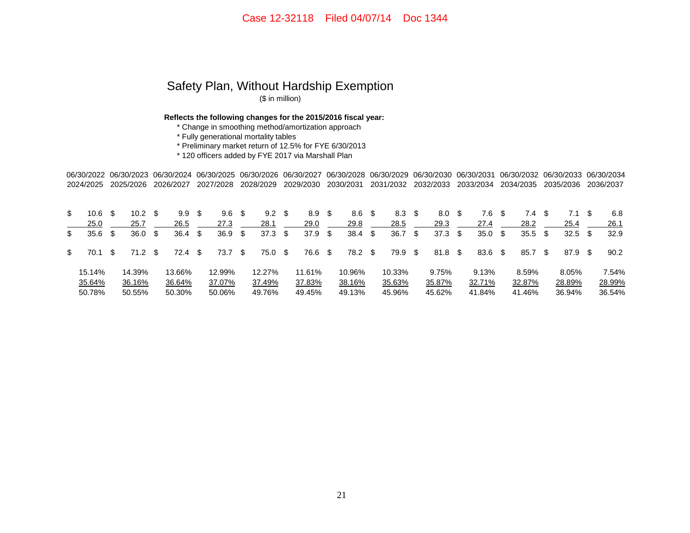# Safety Plan, Without Hardship Exemption

(\$ in million)

**Reflects the following changes for the 2015/2016 fiscal year:**

\* Change in smoothing method/amortization approach

\* Fully generational mortality tables

\* Preliminary market return of 12.5% for FYE 6/30/2013

\* 120 officers added by FYE 2017 via Marshall Plan

06/30/2022 06/30/2023 06/30/2024 06/30/2025 06/30/2026 06/30/2027 06/30/2028 06/30/2029 06/30/2030 06/30/2031 06/30/2032 06/30/2033 06/30/2034 2024/2025 2025/2026 2026/2027 2027/2028 2028/2029 2029/2030 2030/2031 2031/2032 2032/2033 2033/2034 2034/2035 2035/2036 2036/2037

| \$. | 10.6   |     | 10.2 <sub>1</sub> |      | 9.9 S     |     | 9.6    | - \$ | 9.2    | S    | 8.9    | S  | 8.6    | - \$ | $8.3\quad$ |      | 8.0     | - \$ | 7.6    |      | 7.4.   |      |           | 6.8    |
|-----|--------|-----|-------------------|------|-----------|-----|--------|------|--------|------|--------|----|--------|------|------------|------|---------|------|--------|------|--------|------|-----------|--------|
|     | 25.0   |     | 25.7              |      | 26.5      |     | 27.3   |      | 28.1   |      | 29.0   |    | 29.8   |      | 28.5       |      | 29.3    |      | 27.4   |      | 28.2   |      | 25.4      | 26.1   |
| \$  | 35.6   | -S  | 36.0              | \$   | 36.4      | -SS | 36.9   | - \$ | 37.3   | \$   | 37.9   | \$ | 38.4   | -\$  | 36.7       | - \$ | 37.3    | - \$ | 35.0   | - \$ | 35.5   | - \$ | $32.5$ \$ | 32.9   |
| \$  | 70.1   | \$. | 71.2              | - \$ | $72.4$ \$ |     | 73.7   | - \$ | 75.0   | - \$ | 76.6   | \$ | 78.2   | - \$ | 79.9 \$    |      | 81.8 \$ |      | 83.6   | - \$ | 85.7   | -SS  | 87.9 \$   | 90.2   |
|     | 15.14% |     | 14.39%            |      | 13.66%    |     | 12.99% |      | 12.27% |      | 11.61% |    | 10.96% |      | 10.33%     |      | 9.75%   |      | 9.13%  |      | 8.59%  |      | 8.05%     | 7.54%  |
|     | 35.64% |     | 36.16%            |      | 36.64%    |     | 37.07% |      | 37.49% |      | 37.83% |    | 38.16% |      | 35.63%     |      | 35.87%  |      | 32.71% |      | 32.87% |      | 28.89%    | 28.99% |
|     | 50.78% |     | 50.55%            |      | 50.30%    |     | 50.06% |      | 49.76% |      | 49.45% |    | 49.13% |      | 45.96%     |      | 45.62%  |      | 41.84% |      | 41.46% |      | 36.94%    | 36.54% |